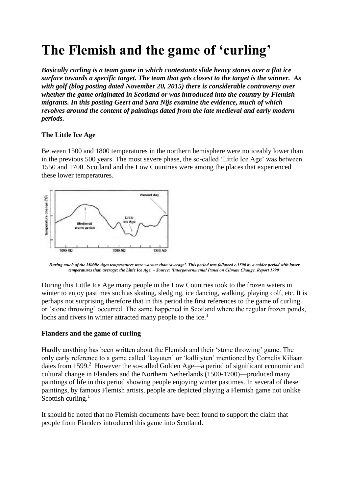# **The Flemish and the game of 'curling'**

*Basically curling is a team game in which contestants slide heavy stones over a flat ice surface towards a specific target. The team that gets closest to the target is the winner. As with golf (blog posting dated November 20, 2015) there is considerable controversy over whether the game originated in Scotland or was introduced into the country by Flemish migrants. In this posting Geert and Sara Nijs examine the evidence, much of which revolves around the content of paintings dated from the late medieval and early modern periods.*

## **The Little Ice Age**

Between 1500 and 1800 temperatures in the northern hemisphere were noticeably lower than in the previous 500 years. The most severe phase, the so-called 'Little Ice Age' was between 1550 and 1700. Scotland and the Low Countries were among the places that experienced these lower temperatures.



*During much of the Middle Ages temperatures were warmer than 'average'. This period was followed c.1500 by a colder period with lower temperatures than average: the Little Ice Age. – Source: 'Intergovernmental Panel on Climate Change, Report 1990'* 

During this Little Ice Age many people in the Low Countries took to the frozen waters in winter to enjoy pastimes such as skating, sledging, ice dancing, walking, playing colf, etc. It is perhaps not surprising therefore that in this period the first references to the game of curling or 'stone throwing' occurred. The same happened in Scotland where the regular frozen ponds, lochs and rivers in winter attracted many people to the ice.<sup>1</sup>

### **Flanders and the game of curling**

Hardly anything has been written about the Flemish and their 'stone throwing' game. The only early reference to a game called 'kayuten' or 'kallityten' mentioned by Cornelis Kiliaan dates from 1599.<sup>2</sup> However the so-called Golden Age—a period of significant economic and cultural change in Flanders and the Northern Netherlands (1500-1700)—produced many paintings of life in this period showing people enjoying winter pastimes. In several of these paintings, by famous Flemish artists, people are depicted playing a Flemish game not unlike Scottish curling. $<sup>1</sup>$ </sup>

It should be noted that no Flemish documents have been found to support the claim that people from Flanders introduced this game into Scotland.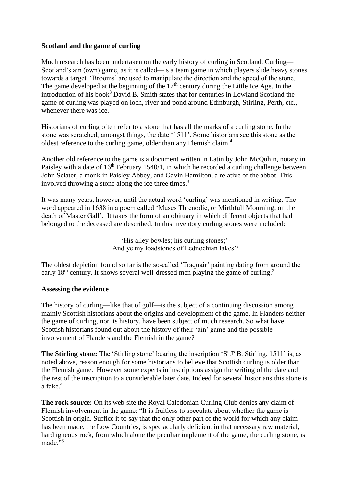## **Scotland and the game of curling**

Much research has been undertaken on the early history of curling in Scotland. Curling— Scotland's ain (own) game, as it is called—is a team game in which players slide heavy stones towards a target. 'Brooms' are used to manipulate the direction and the speed of the stone. The game developed at the beginning of the  $17<sup>th</sup>$  century during the Little Ice Age. In the introduction of his book<sup>3</sup> David B. Smith states that for centuries in Lowland Scotland the game of curling was played on loch, river and pond around Edinburgh, Stirling, Perth, etc., whenever there was ice.

Historians of curling often refer to a stone that has all the marks of a curling stone. In the stone was scratched, amongst things, the date '1511'. Some historians see this stone as the oldest reference to the curling game, older than any Flemish claim.<sup>4</sup>

Another old reference to the game is a document written in Latin by John McQuhin, notary in Paisley with a date of  $16<sup>th</sup>$  February 1540/1, in which he recorded a curling challenge between John Sclater, a monk in Paisley Abbey, and Gavin Hamilton, a relative of the abbot. This involved throwing a stone along the ice three times.<sup>3</sup>

It was many years, however, until the actual word 'curling' was mentioned in writing. The word appeared in 1638 in a poem called 'Muses Threnodie, or Mirthfull Mourning, on the death of Master Gall'. It takes the form of an obituary in which different objects that had belonged to the deceased are described. In this inventory curling stones were included:

> 'His alley bowles; his curling stones;' 'And ye my loadstones of Lednochian lakes'<sup>5</sup>

The oldest depiction found so far is the so-called 'Traquair' painting dating from around the early 18<sup>th</sup> century. It shows several well-dressed men playing the game of curling.<sup>3</sup>

## **Assessing the evidence**

The history of curling—like that of golf—is the subject of a continuing discussion among mainly Scottish historians about the origins and development of the game. In Flanders neither the game of curling, nor its history, have been subject of much research. So what have Scottish historians found out about the history of their 'ain' game and the possible involvement of Flanders and the Flemish in the game?

**The Stirling stone:** The 'Stirling stone' bearing the inscription 'S<sup>t</sup> J<sup>s</sup> B. Stirling. 1511' is, as noted above, reason enough for some historians to believe that Scottish curling is older than the Flemish game. However some experts in inscriptions assign the writing of the date and the rest of the inscription to a considerable later date. Indeed for several historians this stone is a fake.<sup>4</sup>

**The rock source:** On its web site the Royal Caledonian Curling Club denies any claim of Flemish involvement in the game: "It is fruitless to speculate about whether the game is Scottish in origin. Suffice it to say that the only other part of the world for which any claim has been made, the Low Countries, is spectacularly deficient in that necessary raw material, hard igneous rock, from which alone the peculiar implement of the game, the curling stone, is made."<sup>6</sup>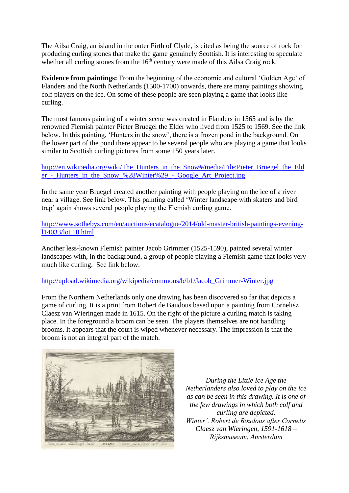The Ailsa Craig, an island in the outer Firth of Clyde, is cited as being the source of rock for producing curling stones that make the game genuinely Scottish. It is interesting to speculate whether all curling stones from the  $16<sup>th</sup>$  century were made of this Ailsa Craig rock.

**Evidence from paintings:** From the beginning of the economic and cultural 'Golden Age' of Flanders and the North Netherlands (1500-1700) onwards, there are many paintings showing colf players on the ice. On some of these people are seen playing a game that looks like curling.

The most famous painting of a winter scene was created in Flanders in 1565 and is by the renowned Flemish painter Pieter Bruegel the Elder who lived from 1525 to 1569. See the link below. In this painting, 'Hunters in the snow', there is a frozen pond in the background. On the lower part of the pond there appear to be several people who are playing a game that looks similar to Scottish curling pictures from some 150 years later.

[http://en.wikipedia.org/wiki/The\\_Hunters\\_in\\_the\\_Snow#/media/File:Pieter\\_Bruegel\\_the\\_Eld](http://en.wikipedia.org/wiki/The_Hunters_in_the_Snow#/media/File:Pieter_Bruegel_the_Elder_-_Hunters_in_the_Snow_%28Winter%29_-_Google_Art_Project.jpg) er - Hunters in the Snow %28Winter%29 - Google Art Project.jpg

In the same year Bruegel created another painting with people playing on the ice of a river near a village. See link below. This painting called 'Winter landscape with skaters and bird trap' again shows several people playing the Flemish curling game.

[http://www.sothebys.com/en/auctions/ecatalogue/2014/old-master-british-paintings-evening](http://www.sothebys.com/en/auctions/ecatalogue/2014/old-master-british-paintings-evening-l14033/lot.10.html)[l14033/lot.10.html](http://www.sothebys.com/en/auctions/ecatalogue/2014/old-master-british-paintings-evening-l14033/lot.10.html)

Another less-known Flemish painter Jacob Grimmer (1525-1590), painted several winter landscapes with, in the background, a group of people playing a Flemish game that looks very much like curling. See link below.

### [http://upload.wikimedia.org/wikipedia/commons/b/b1/Jacob\\_Grimmer-Winter.jpg](http://upload.wikimedia.org/wikipedia/commons/b/b1/Jacob_Grimmer-Winter.jpg)

From the Northern Netherlands only one drawing has been discovered so far that depicts a game of curling. It is a print from Robert de Baudous based upon a painting from Cornelisz Claesz van Wieringen made in 1615. On the right of the picture a curling match is taking place. In the foreground a broom can be seen. The players themselves are not handling brooms. It appears that the court is wiped whenever necessary. The impression is that the broom is not an integral part of the match.



*During the Little Ice Age the Netherlanders also loved to play on the ice as can be seen in this drawing. It is one of the few drawings in which both colf and curling are depicted. Winter', Robert de Boudous after Cornelis Claesz van Wieringen, 1591-1618 – Rijksmuseum, Amsterdam*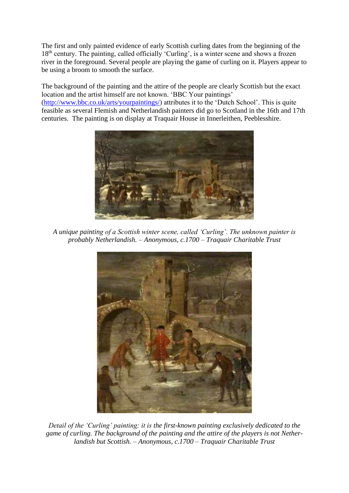The first and only painted evidence of early Scottish curling dates from the beginning of the 18<sup>th</sup> century. The painting, called officially 'Curling', is a winter scene and shows a frozen river in the foreground. Several people are playing the game of curling on it. Players appear to be using a broom to smooth the surface.

The background of the painting and the attire of the people are clearly Scottish but the exact location and the artist himself are not known. 'BBC Your paintings' [\(http://www.bbc.co.uk/arts/yourpaintings/\)](http://www.bbc.co.uk/arts/yourpaintings/) attributes it to the 'Dutch School'. This is quite feasible as several Flemish and Netherlandish painters did go to Scotland in the 16th and 17th centuries. The painting is on display at Traquair House in Innerleithen, Peeblesshire.



*A unique painting of a Scottish winter scene, called 'Curling'. The unknown painter is probably Netherlandish. – Anonymous, c.1700 – Traquair Charitable Trust*



*Detail of the 'Curling' painting; it is the first-known painting exclusively dedicated to the game of curling. The background of the painting and the attire of the players is not Netherlandish but Scottish. – Anonymous, c.1700 – Traquair Charitable Trust*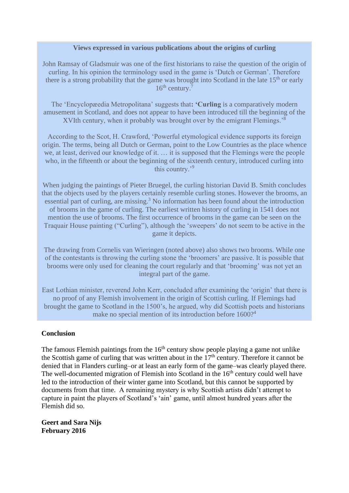### **Views expressed in various publications about the origins of curling**

John Ramsay of Gladsmuir was one of the first historians to raise the question of the origin of curling. In his opinion the terminology used in the game is 'Dutch or German'. Therefore there is a strong probability that the game was brought into Scotland in the late  $15<sup>th</sup>$  or early 16<sup>th</sup> century.<sup>7</sup>

The 'Encyclopæedia Metropolitana' suggests that**: 'Curling** is a comparatively modern amusement in Scotland, and does not appear to have been introduced till the beginning of the XVIth century, when it probably was brought over by the emigrant Flemings.<sup>8</sup>

According to the Scot, H. Crawford, 'Powerful etymological evidence supports its foreign origin. The terms, being all Dutch or German, point to the Low Countries as the place whence we, at least, derived our knowledge of it. … it is supposed that the Flemings were the people who, in the fifteenth or about the beginning of the sixteenth century, introduced curling into this country.'<sup>9</sup>

When judging the paintings of Pieter Bruegel, the curling historian David B. Smith concludes that the objects used by the players certainly resemble curling stones. However the brooms, an essential part of curling, are missing.<sup>3</sup> No information has been found about the introduction of brooms in the game of curling. The earliest written history of curling in 1541 does not mention the use of brooms. The first occurrence of brooms in the game can be seen on the Traquair House painting ("Curling"), although the 'sweepers' do not seem to be active in the game it depicts.

The drawing from Cornelis van Wieringen (noted above) also shows two brooms. While one of the contestants is throwing the curling stone the 'broomers' are passive. It is possible that brooms were only used for cleaning the court regularly and that 'brooming' was not yet an integral part of the game.

East Lothian minister, reverend John Kerr, concluded after examining the 'origin' that there is no proof of any Flemish involvement in the origin of Scottish curling. If Flemings had brought the game to Scotland in the 1500's, he argued, why did Scottish poets and historians make no special mention of its introduction before 1600?<sup>4</sup>

### **Conclusion**

The famous Flemish paintings from the  $16<sup>th</sup>$  century show people playing a game not unlike the Scottish game of curling that was written about in the  $17<sup>th</sup>$  century. Therefore it cannot be denied that in Flanders curling–or at least an early form of the game–was clearly played there. The well-documented migration of Flemish into Scotland in the  $16<sup>th</sup>$  century could well have led to the introduction of their winter game into Scotland, but this cannot be supported by documents from that time. A remaining mystery is why Scottish artists didn't attempt to capture in paint the players of Scotland's 'ain' game, until almost hundred years after the Flemish did so.

**Geert and Sara Nijs February 2016**